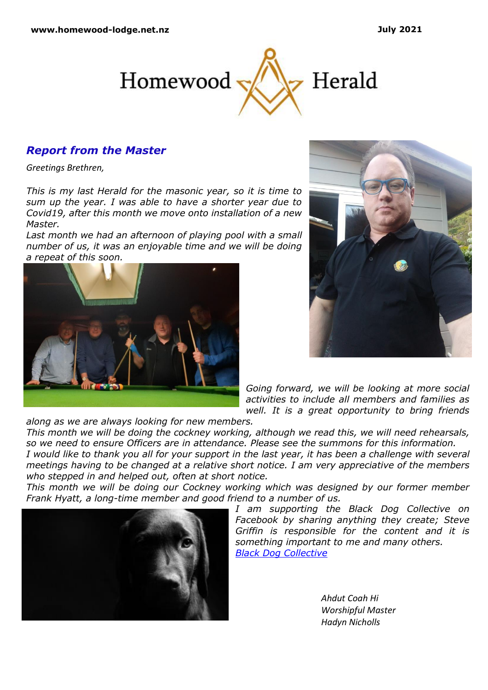

## *Report from the Master*

*Greetings Brethren,*

*This is my last Herald for the masonic year, so it is time to sum up the year. I was able to have a shorter year due to Covid19, after this month we move onto installation of a new Master.*

Last month we had an afternoon of playing pool with a small *number of us, it was an enjoyable time and we will be doing a repeat of this soon.*





*Going forward, we will be looking at more social activities to include all members and families as well. It is a great opportunity to bring friends* 

*along as we are always looking for new members.*

*This month we will be doing the cockney working, although we read this, we will need rehearsals, so we need to ensure Officers are in attendance. Please see the summons for this information.*

*I would like to thank you all for your support in the last year, it has been a challenge with several meetings having to be changed at a relative short notice. I am very appreciative of the members who stepped in and helped out, often at short notice.*

*This month we will be doing our Cockney working which was designed by our former member Frank Hyatt, a long-time member and good friend to a number of us.*



*I am supporting the Black Dog Collective on Facebook by sharing anything they create; Steve Griffin is responsible for the content and it is something important to me and many others. [Black Dog Collective](https://www.facebook.com/theblackdogcollectiveNZ)*

> *Ahdut Coah Hi Worshipful Master Hadyn Nicholls*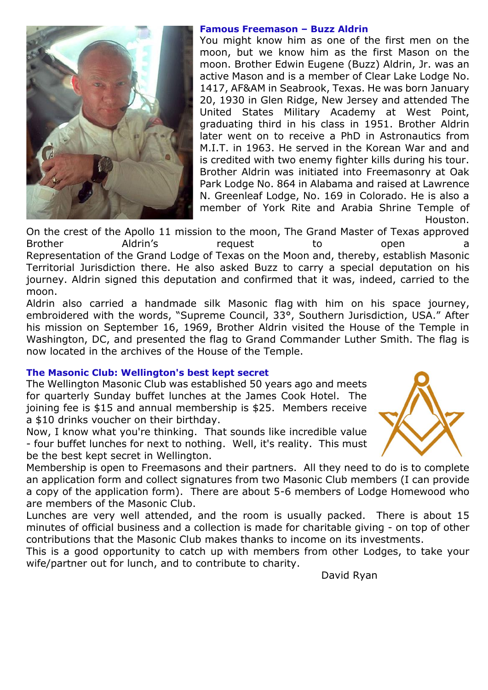

#### **Famous Freemason – Buzz Aldrin**

You might know him as one of the first men on the moon, but we know him as the first Mason on the moon. Brother Edwin Eugene (Buzz) Aldrin, Jr. was an active Mason and is a member of Clear Lake Lodge No. 1417, AF&AM in Seabrook, Texas. He was born January 20, 1930 in Glen Ridge, New Jersey and attended The United States Military Academy at West Point, graduating third in his class in 1951. Brother Aldrin later went on to receive a PhD in Astronautics from M.I.T. in 1963. He served in the Korean War and and is credited with two enemy fighter kills during his tour. Brother Aldrin was initiated into Freemasonry at Oak Park Lodge No. 864 in Alabama and raised at Lawrence N. Greenleaf Lodge, No. 169 in Colorado. He is also a member of York Rite and Arabia Shrine Temple of Houston.

On the crest of the Apollo 11 mission to the moon, The Grand Master of Texas approved Brother and Aldrin's and the open a mequest to the open a metal open and the open and the metal open and the m Representation of the Grand Lodge of Texas on the Moon and, thereby, establish Masonic Territorial Jurisdiction there. He also asked Buzz to carry a special deputation on his journey. Aldrin signed this deputation and confirmed that it was, indeed, carried to the moon.

[Aldrin also carried a handmade silk Masonic flag](http://freemasoninformation.com/wp-content/uploads/2015/03/Buzz-Aldrin-Astronaut.pdf) with him on his space journey, embroidered with the words, "Supreme Council, 33°, Southern Jurisdiction, USA." After his mission on September 16, 1969, Brother Aldrin visited the House of the Temple in Washington, DC, and presented the flag to Grand Commander Luther Smith. The flag is now located in the archives of the House of the Temple.

# **The Masonic Club: Wellington's best kept secret**

The Wellington Masonic Club was established 50 years ago and meets for quarterly Sunday buffet lunches at the James Cook Hotel. The joining fee is \$15 and annual membership is \$25. Members receive a \$10 drinks voucher on their birthday.

Now, I know what you're thinking. That sounds like incredible value - four buffet lunches for next to nothing. Well, it's reality. This must be the best kept secret in Wellington.



Membership is open to Freemasons and their partners. All they need to do is to complete an application form and collect signatures from two Masonic Club members (I can provide a copy of the application form). There are about 5-6 members of Lodge Homewood who are members of the Masonic Club.

Lunches are very well attended, and the room is usually packed. There is about 15 minutes of official business and a collection is made for charitable giving - on top of other contributions that the Masonic Club makes thanks to income on its investments.

This is a good opportunity to catch up with members from other Lodges, to take your wife/partner out for lunch, and to contribute to charity.

David Ryan